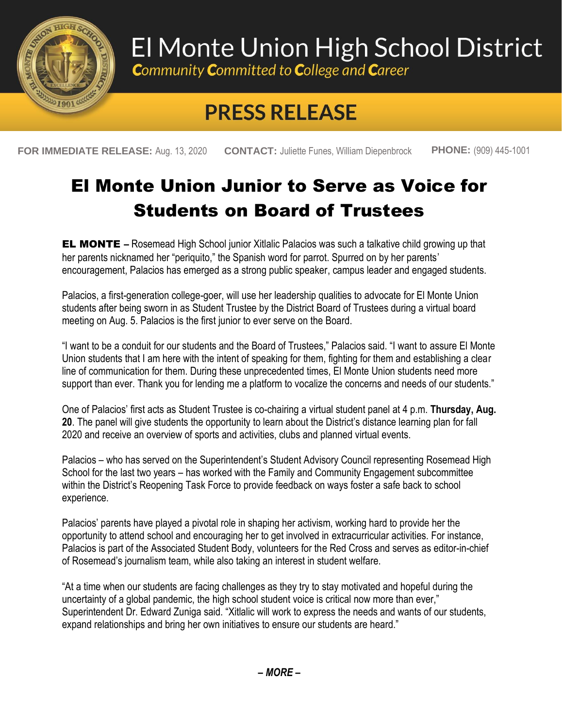

# El Monte Union High School District

**Community Committed to College and Career** 

## **PRESS RELEASE**

**FOR IMMEDIATE RELEASE:** Aug. 13, 2020 **CONTACT:** Juliette Funes, William Diepenbrock **PHONE:** (909) 445-1001

### El Monte Union Junior to Serve as Voice for Students on Board of Trustees

**EL MONTE** – Rosemead High School junior Xitlalic Palacios was such a talkative child growing up that her parents nicknamed her "periquito," the Spanish word for parrot. Spurred on by her parents' encouragement, Palacios has emerged as a strong public speaker, campus leader and engaged students.

Palacios, a first-generation college-goer, will use her leadership qualities to advocate for El Monte Union students after being sworn in as Student Trustee by the District Board of Trustees during a virtual board meeting on Aug. 5. Palacios is the first junior to ever serve on the Board.

"I want to be a conduit for our students and the Board of Trustees," Palacios said. "I want to assure El Monte Union students that I am here with the intent of speaking for them, fighting for them and establishing a clear line of communication for them. During these unprecedented times, El Monte Union students need more support than ever. Thank you for lending me a platform to vocalize the concerns and needs of our students."

One of Palacios' first acts as Student Trustee is co-chairing a virtual student panel at 4 p.m. **Thursday, Aug. 20**. The panel will give students the opportunity to learn about the District's distance learning plan for fall 2020 and receive an overview of sports and activities, clubs and planned virtual events.

Palacios – who has served on the Superintendent's Student Advisory Council representing Rosemead High School for the last two years – has worked with the Family and Community Engagement subcommittee within the District's Reopening Task Force to provide feedback on ways foster a safe back to school experience.

Palacios' parents have played a pivotal role in shaping her activism, working hard to provide her the opportunity to attend school and encouraging her to get involved in extracurricular activities. For instance, Palacios is part of the Associated Student Body, volunteers for the Red Cross and serves as editor-in-chief of Rosemead's journalism team, while also taking an interest in student welfare.

"At a time when our students are facing challenges as they try to stay motivated and hopeful during the uncertainty of a global pandemic, the high school student voice is critical now more than ever," Superintendent Dr. Edward Zuniga said. "Xitlalic will work to express the needs and wants of our students, expand relationships and bring her own initiatives to ensure our students are heard."